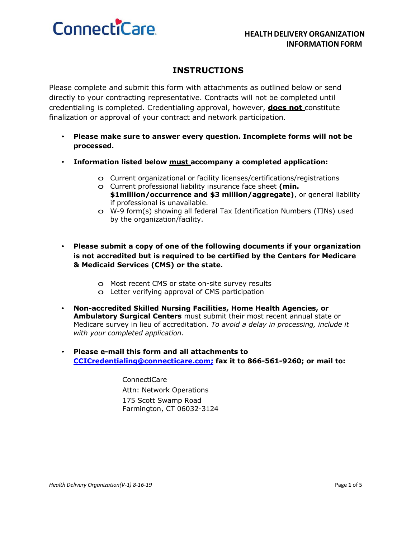# **ConnectiCare**

### **INSTRUCTIONS**

Please complete and submit this form with attachments as outlined below or send directly to your contracting representative. Contracts will not be completed until credentialing is completed. Credentialing approval, however, **does not** constitute finalization or approval of your contract and network participation.

- **Please make sure to answer every question. Incomplete forms will not be processed.**
- **Information listed below must accompany a completed application:**
	- o Current organizational or facility licenses/certifications/registrations
	- o Current professional liability insurance face sheet **(min. \$1million/occurrence and \$3 million/aggregate)**, or general liability if professional is unavailable.
	- o W-9 form(s) showing all federal Tax Identification Numbers (TINs) used by the organization/facility.
- **Please submit a copy of one of the following documents if your organization is not accredited but is required to be certified by the Centers for Medicare & Medicaid Services (CMS) or the state.**
	- o Most recent CMS or state on-site survey results
	- o Letter verifying approval of CMS participation
- **Non-accredited Skilled Nursing Facilities, Home Health Agencies, or Ambulatory Surgical Centers** must submit their most recent annual state or Medicare survey in lieu of accreditation. *To avoid a delay in processing, include it with your completed application.*
- **Please e-mail this form and all attachments to CCICredentialing@connecticare.com; fax it to 866-561-9260; or mail to:**

ConnectiCare Attn: Network Operations 175 Scott Swamp Road Farmington, CT 06032-3124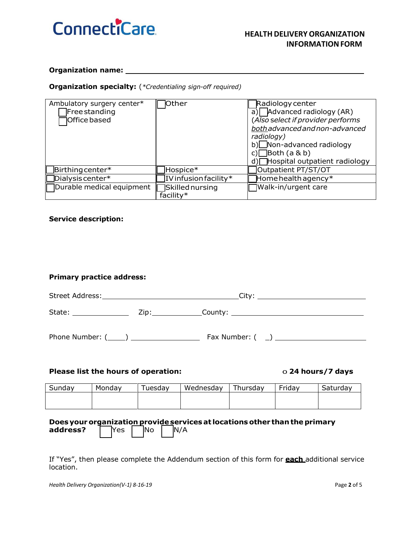

#### **Organization name:**

### **Organization specialty:** (*\*Credentialing sign-off required)*

| Ambulatory surgery center*  | <b>O</b> ther            | Radiology center                         |
|-----------------------------|--------------------------|------------------------------------------|
| Free standing               |                          | $\overline{a}$ ) Advanced radiology (AR) |
| <b>Office based</b>         |                          | (Also select if provider performs        |
|                             |                          | both advanced and non-advanced           |
|                             |                          | radiology)                               |
|                             |                          | b) Non-advanced radiology                |
|                             |                          | c) $\Box$ Both (a & b)                   |
|                             |                          | d) Hospital outpatient radiology         |
| $\Box$ Birthing center*     | Hospice*                 | Outpatient PT/ST/OT                      |
| $\Box$ Dialysis center $^*$ | IV infusion facility $*$ | $\mathbb H$ ome health agency $^*$       |
| □Durable medical equipment  | <b>Skilled nursing</b>   | Walk-in/urgent care                      |
|                             | facility*                |                                          |

### **Service description:**

| <b>Primary practice address:</b>                               |        |         |           |          |        |          |
|----------------------------------------------------------------|--------|---------|-----------|----------|--------|----------|
|                                                                |        |         |           |          |        |          |
|                                                                |        |         |           |          |        |          |
|                                                                |        |         |           |          |        |          |
| Please list the hours of operation:<br>$\circ$ 24 hours/7 days |        |         |           |          |        |          |
| Sunday                                                         | Monday | Tuesday | Wednesday | Thursday | Friday | Saturday |
|                                                                |        |         |           |          |        |          |

### **Doesyour organization provideservicesat locationsother than theprimary address?** | Yes | No | N/A

If "Yes", then please complete the Addendum section of this form for **each** additional service location.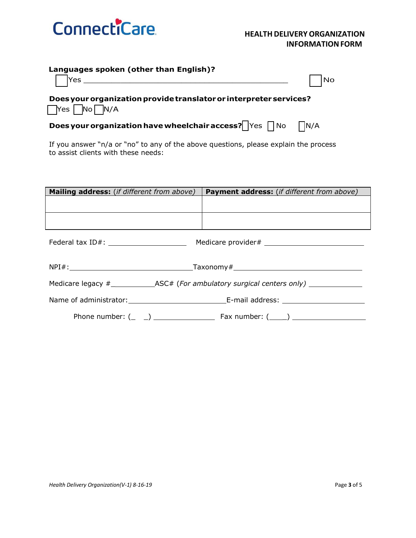

| Languages spoken (other than English)? |
|----------------------------------------|
|                                        |

|--|

o Yes \_\_\_\_\_\_\_\_\_\_\_\_\_\_\_\_\_\_\_\_\_\_\_\_\_\_\_\_\_\_\_\_\_\_\_\_\_\_\_\_\_\_\_\_ o No

**Doesyourorganization providetranslatoror interpreterservices?**  $\bigcap$ Yes  $\bigcap$ No  $\bigcap$ N/A

**Does your organization have wheelchair access? Yes**  $\bigcap$  **No**  $\bigcap N/A$ 

If you answer "n/a or "no" to any of the above questions, please explain the process to assist clients with these needs:

| Mailing address: (if different from above) | <b>Payment address:</b> (if different from above)                                                   |
|--------------------------------------------|-----------------------------------------------------------------------------------------------------|
|                                            |                                                                                                     |
|                                            |                                                                                                     |
|                                            |                                                                                                     |
|                                            |                                                                                                     |
|                                            | Medicare legacy #___________________ASC# (For ambulatory surgical centers only) ___________________ |
|                                            |                                                                                                     |
|                                            |                                                                                                     |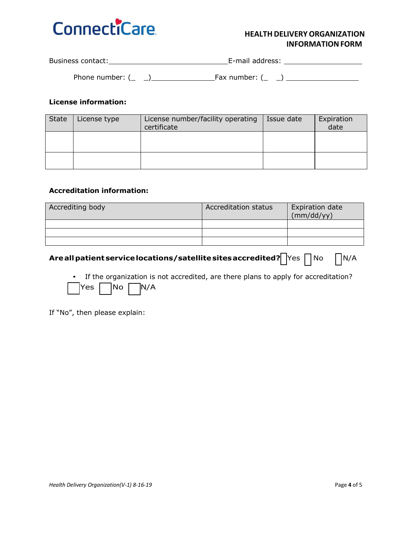

### **HEALTH DELIVERYORGANIZATION INFORMATION FORM**

| Business contact: | E-mail address: |  |
|-------------------|-----------------|--|
|                   |                 |  |

Phone number: (\_ \_) Fax number: (\_ \_)

### **License information:**

| State | License type | License number/facility operating<br>certificate | Issue date | Expiration<br>date |
|-------|--------------|--------------------------------------------------|------------|--------------------|
|       |              |                                                  |            |                    |
|       |              |                                                  |            |                    |

### **Accreditation information:**

| Accrediting body | <b>Accreditation status</b> | <b>Expiration date</b><br>(mm/dd/yy) |
|------------------|-----------------------------|--------------------------------------|
|                  |                             |                                      |
|                  |                             |                                      |
|                  |                             |                                      |

## **Are all patient service locations/satellite sites accredited?**  $\bigcap$ Yes  $\bigcap$  No  $\bigcap$ N/A

• If the organization is not accredited, are there plans to apply for accreditation?  $Yes \fceil No \fceil N/A$ 

If "No", then please explain: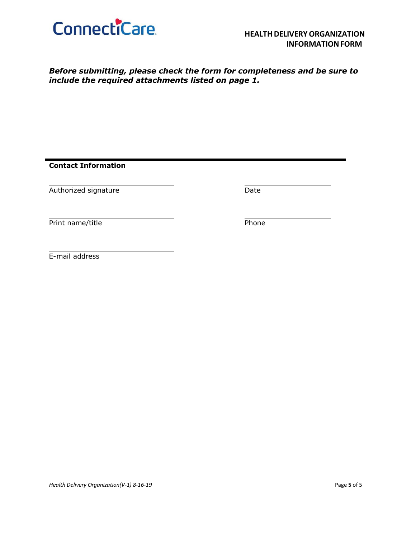

*Before submitting, please check the form for completeness and be sure to include the required attachments listed on page 1.*

**Contact Information**

Authorized signature and a state of the Date

Print name/title **Phone** 

E-mail address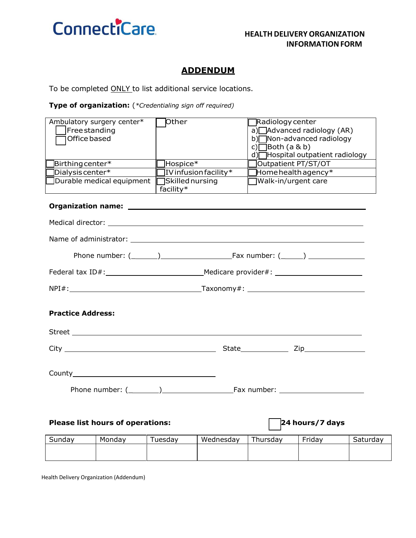

### **ADDENDUM**

To be completed ONLY to list additional service locations.

### **Type of organization:** (*\*Credentialing sign off required)*

| Ambulatory surgery center*     | Other                  | <b>TRadiology center</b>           |
|--------------------------------|------------------------|------------------------------------|
| Free standing                  |                        | a) $\Box$ Advanced radiology (AR)  |
| 1Office based                  |                        | b) Non-advanced radiology          |
|                                |                        | c) $\Box$ Both (a & b)             |
|                                |                        | Hospital outpatient radiology      |
| $\exists$ Birthing center $^*$ | Hospice*               | Outpatient PT/ST/OT                |
| TDialysis center*              | IV infusion facility*  | $\mathbb H$ ome health agency $^*$ |
| Durable medical equipment      | <b>Skilled nursing</b> | Walk-in/urgent care                |
|                                | facility*              |                                    |

### **Organization name:**

| <b>Practice Address:</b> |                      |
|--------------------------|----------------------|
|                          |                      |
|                          | State <b>Zip</b> Zip |
|                          |                      |
|                          |                      |
|                          |                      |

### **Please list hours of operations:** o **24 hours/7 days**

| sundav | Monday | uesdav | Wednesdav | Thursdav | Friday | Saturday |
|--------|--------|--------|-----------|----------|--------|----------|
|        |        |        |           |          |        |          |
|        |        |        |           |          |        |          |

Health Delivery Organization (Addendum)